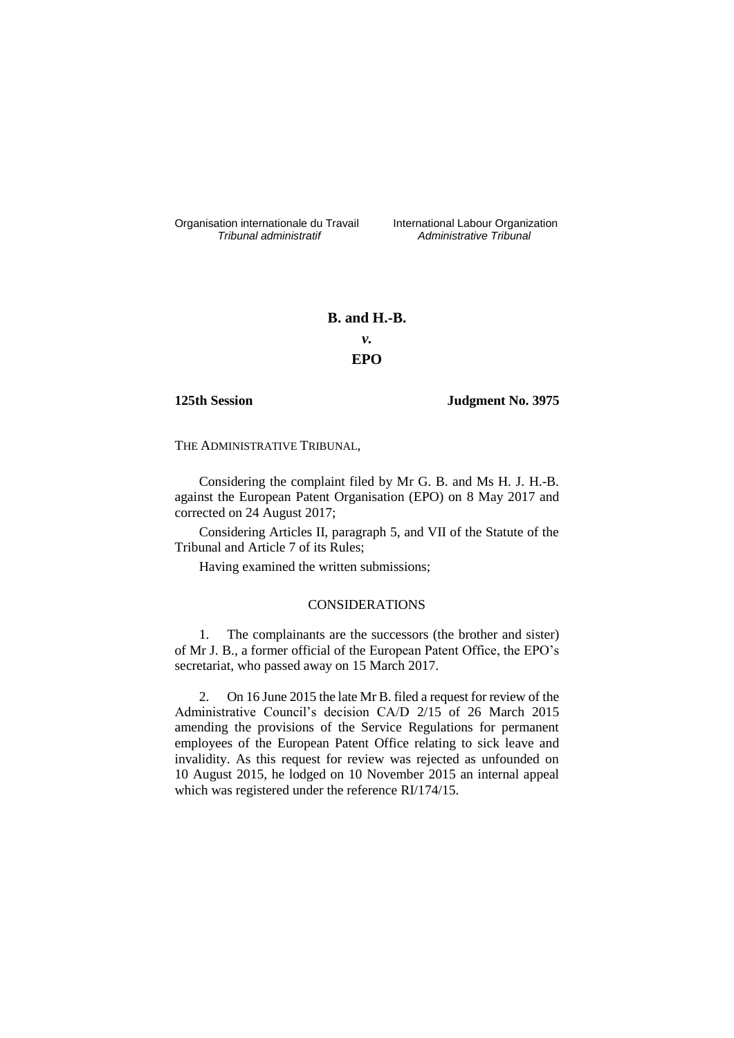Organisation internationale du Travail liternational Labour Organization<br> *Tribunal administratif Administrative Tribunal* 

*Tribunal administratif Administrative Tribunal*

# **B. and H.-B.** *v.* **EPO**

**125th Session Judgment No. 3975**

THE ADMINISTRATIVE TRIBUNAL,

Considering the complaint filed by Mr G. B. and Ms H. J. H.-B. against the European Patent Organisation (EPO) on 8 May 2017 and corrected on 24 August 2017;

Considering Articles II, paragraph 5, and VII of the Statute of the Tribunal and Article 7 of its Rules;

Having examined the written submissions;

## CONSIDERATIONS

1. The complainants are the successors (the brother and sister) of Mr J. B., a former official of the European Patent Office, the EPO's secretariat, who passed away on 15 March 2017.

2. On 16 June 2015 the late Mr B. filed a request for review of the Administrative Council's decision CA/D 2/15 of 26 March 2015 amending the provisions of the Service Regulations for permanent employees of the European Patent Office relating to sick leave and invalidity. As this request for review was rejected as unfounded on 10 August 2015, he lodged on 10 November 2015 an internal appeal which was registered under the reference RI/174/15.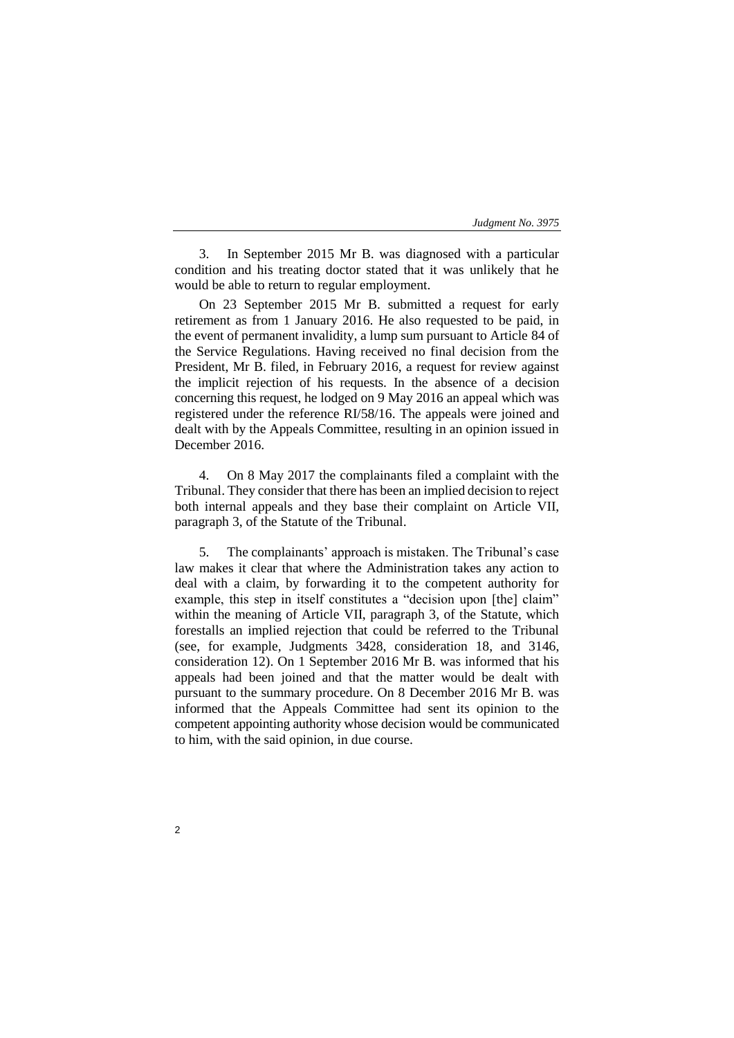### *Judgment No. 3975*

3. In September 2015 Mr B. was diagnosed with a particular condition and his treating doctor stated that it was unlikely that he would be able to return to regular employment.

On 23 September 2015 Mr B. submitted a request for early retirement as from 1 January 2016. He also requested to be paid, in the event of permanent invalidity, a lump sum pursuant to Article 84 of the Service Regulations. Having received no final decision from the President, Mr B. filed, in February 2016, a request for review against the implicit rejection of his requests. In the absence of a decision concerning this request, he lodged on 9 May 2016 an appeal which was registered under the reference RI/58/16. The appeals were joined and dealt with by the Appeals Committee, resulting in an opinion issued in December 2016.

4. On 8 May 2017 the complainants filed a complaint with the Tribunal. They consider that there has been an implied decision to reject both internal appeals and they base their complaint on Article VII, paragraph 3, of the Statute of the Tribunal.

5. The complainants' approach is mistaken. The Tribunal's case law makes it clear that where the Administration takes any action to deal with a claim, by forwarding it to the competent authority for example, this step in itself constitutes a "decision upon [the] claim" within the meaning of Article VII, paragraph 3, of the Statute, which forestalls an implied rejection that could be referred to the Tribunal (see, for example, Judgments 3428, consideration 18, and 3146, consideration 12). On 1 September 2016 Mr B. was informed that his appeals had been joined and that the matter would be dealt with pursuant to the summary procedure. On 8 December 2016 Mr B. was informed that the Appeals Committee had sent its opinion to the competent appointing authority whose decision would be communicated to him, with the said opinion, in due course.

2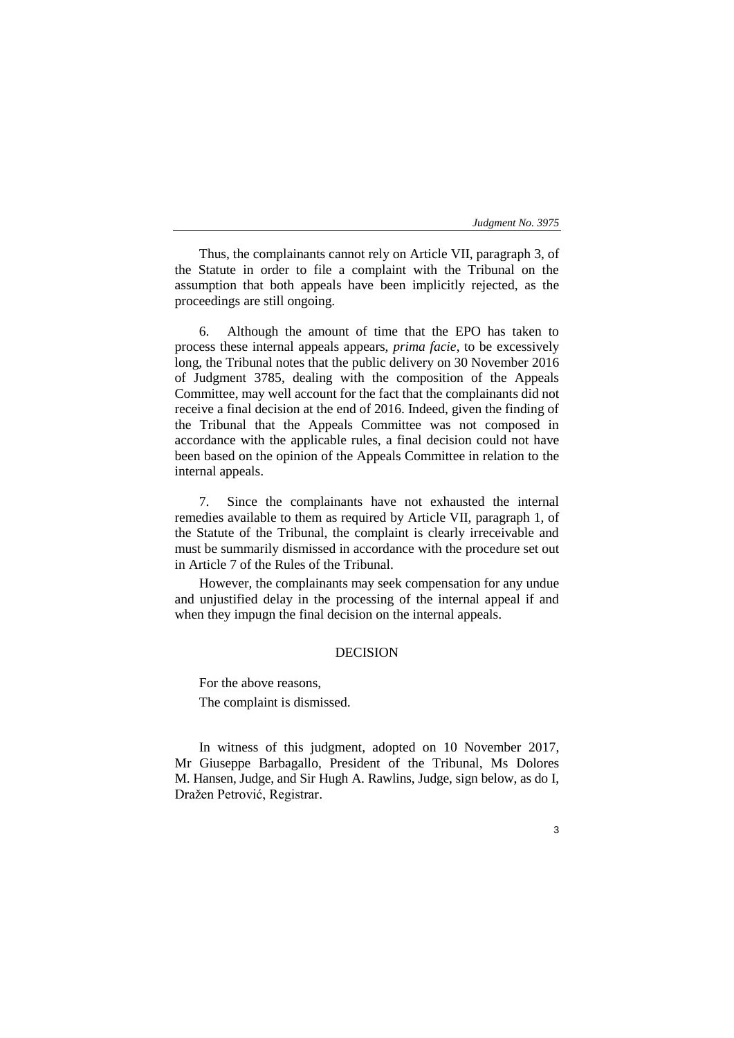### *Judgment No. 3975*

Thus, the complainants cannot rely on Article VII, paragraph 3, of the Statute in order to file a complaint with the Tribunal on the assumption that both appeals have been implicitly rejected, as the proceedings are still ongoing.

6. Although the amount of time that the EPO has taken to process these internal appeals appears, *prima facie*, to be excessively long, the Tribunal notes that the public delivery on 30 November 2016 of Judgment 3785, dealing with the composition of the Appeals Committee, may well account for the fact that the complainants did not receive a final decision at the end of 2016. Indeed, given the finding of the Tribunal that the Appeals Committee was not composed in accordance with the applicable rules, a final decision could not have been based on the opinion of the Appeals Committee in relation to the internal appeals.

7. Since the complainants have not exhausted the internal remedies available to them as required by Article VII, paragraph 1, of the Statute of the Tribunal, the complaint is clearly irreceivable and must be summarily dismissed in accordance with the procedure set out in Article 7 of the Rules of the Tribunal.

However, the complainants may seek compensation for any undue and unjustified delay in the processing of the internal appeal if and when they impugn the final decision on the internal appeals.

#### DECISION

For the above reasons, The complaint is dismissed.

In witness of this judgment, adopted on 10 November 2017, Mr Giuseppe Barbagallo, President of the Tribunal, Ms Dolores M. Hansen, Judge, and Sir Hugh A. Rawlins, Judge, sign below, as do I, Dražen Petrović, Registrar.

3